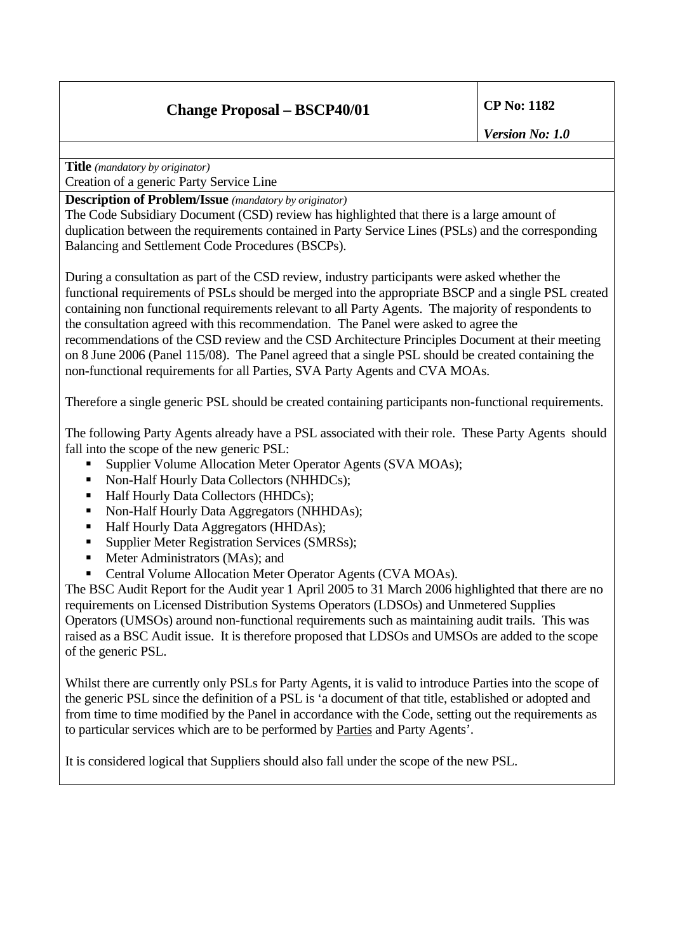# **Change Proposal – BSCP40/01 CP No: 1182**

*Version No: 1.0* 

**Title** *(mandatory by originator)*

Creation of a generic Party Service Line

**Description of Problem/Issue** *(mandatory by originator)* 

The Code Subsidiary Document (CSD) review has highlighted that there is a large amount of duplication between the requirements contained in Party Service Lines (PSLs) and the corresponding Balancing and Settlement Code Procedures (BSCPs).

During a consultation as part of the CSD review, industry participants were asked whether the functional requirements of PSLs should be merged into the appropriate BSCP and a single PSL created containing non functional requirements relevant to all Party Agents. The majority of respondents to the consultation agreed with this recommendation. The Panel were asked to agree the recommendations of the CSD review and the CSD Architecture Principles Document at their meeting on 8 June 2006 (Panel 115/08). The Panel agreed that a single PSL should be created containing the non-functional requirements for all Parties, SVA Party Agents and CVA MOAs.

Therefore a single generic PSL should be created containing participants non-functional requirements.

The following Party Agents already have a PSL associated with their role. These Party Agents should fall into the scope of the new generic PSL:

- Supplier Volume Allocation Meter Operator Agents (SVA MOAs);
- Non-Half Hourly Data Collectors (NHHDCs);
- Half Hourly Data Collectors (HHDCs);
- Non-Half Hourly Data Aggregators (NHHDAs);
- Half Hourly Data Aggregators (HHDAs);
- Supplier Meter Registration Services (SMRSs);
- Meter Administrators (MAs); and
- Central Volume Allocation Meter Operator Agents (CVA MOAs).

The BSC Audit Report for the Audit year 1 April 2005 to 31 March 2006 highlighted that there are no requirements on Licensed Distribution Systems Operators (LDSOs) and Unmetered Supplies Operators (UMSOs) around non-functional requirements such as maintaining audit trails. This was raised as a BSC Audit issue. It is therefore proposed that LDSOs and UMSOs are added to the scope of the generic PSL.

Whilst there are currently only PSLs for Party Agents, it is valid to introduce Parties into the scope of the generic PSL since the definition of a PSL is 'a document of that title, established or adopted and from time to time modified by the Panel in accordance with the Code, setting out the requirements as to particular services which are to be performed by Parties and Party Agents'.

It is considered logical that Suppliers should also fall under the scope of the new PSL.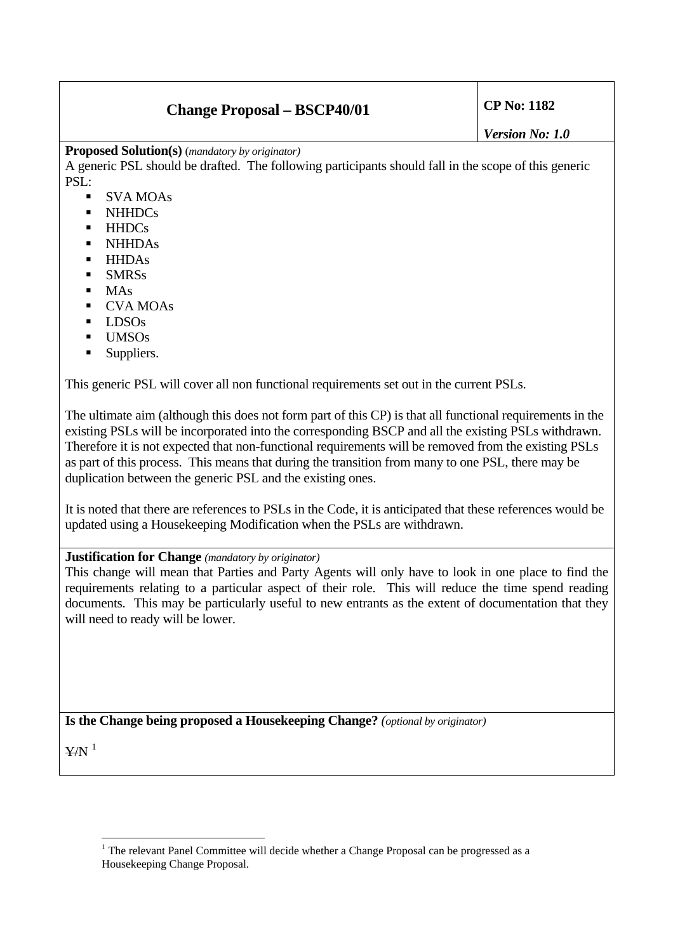## **Change Proposal – BSCP40/01 CP No: 1182**

**Proposed Solution(s)** (*mandatory by originator)* 

A generic PSL should be drafted. The following participants should fall in the scope of this generic PSL:

- SVA MOAs
- NHHDCs
- **HHDCs**
- **NHHDAs**
- **-** HHDAs
- **SMRSs**
- $MAs$
- CVA MOAs
- LDSOs
- UMSOs
- Suppliers.

This generic PSL will cover all non functional requirements set out in the current PSLs.

The ultimate aim (although this does not form part of this CP) is that all functional requirements in the existing PSLs will be incorporated into the corresponding BSCP and all the existing PSLs withdrawn. Therefore it is not expected that non-functional requirements will be removed from the existing PSLs as part of this process. This means that during the transition from many to one PSL, there may be duplication between the generic PSL and the existing ones.

It is noted that there are references to PSLs in the Code, it is anticipated that these references would be updated using a Housekeeping Modification when the PSLs are withdrawn.

### **Justification for Change** *(mandatory by originator)*

This change will mean that Parties and Party Agents will only have to look in one place to find the requirements relating to a particular aspect of their role. This will reduce the time spend reading documents. This may be particularly useful to new entrants as the extent of documentation that they will need to ready will be lower.

**Is the Change being proposed a Housekeeping Change?** *(optional by originator)*

 $Y/N$ <sup>[1](#page-1-0)</sup>

<span id="page-1-0"></span> $\overline{a}$  $1$  The relevant Panel Committee will decide whether a Change Proposal can be progressed as a Housekeeping Change Proposal.